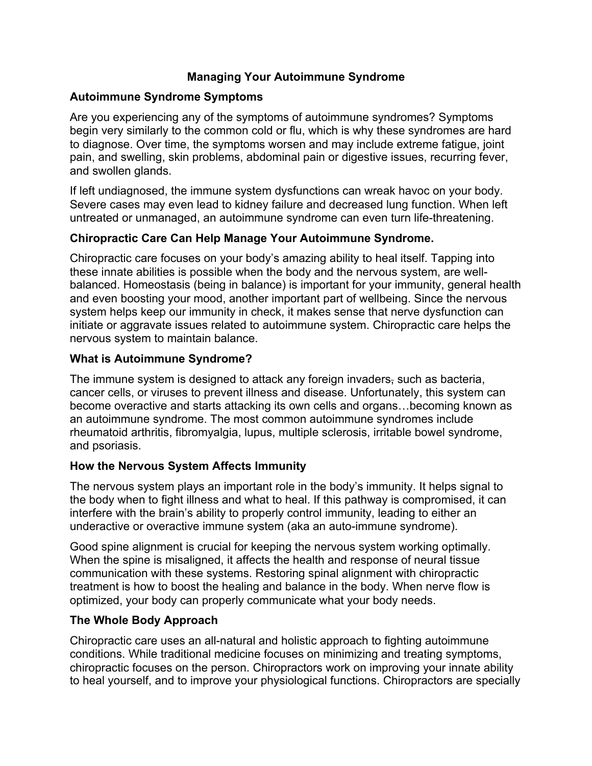## **Managing Your Autoimmune Syndrome**

### **Autoimmune Syndrome Symptoms**

Are you experiencing any of the symptoms of autoimmune syndromes? Symptoms begin very similarly to the common cold or flu, which is why these syndromes are hard to diagnose. Over time, the symptoms worsen and may include extreme fatigue, joint pain, and swelling, skin problems, abdominal pain or digestive issues, recurring fever, and swollen glands.

If left undiagnosed, the immune system dysfunctions can wreak havoc on your body. Severe cases may even lead to kidney failure and decreased lung function. When left untreated or unmanaged, an autoimmune syndrome can even turn life-threatening.

## **Chiropractic Care Can Help Manage Your Autoimmune Syndrome.**

Chiropractic care focuses on your body's amazing ability to heal itself. Tapping into these innate abilities is possible when the body and the nervous system, are wellbalanced. Homeostasis (being in balance) is important for your immunity, general health and even boosting your mood, another important part of wellbeing. Since the nervous system helps keep our immunity in check, it makes sense that nerve dysfunction can initiate or aggravate issues related to autoimmune system. Chiropractic care helps the nervous system to maintain balance.

## **What is Autoimmune Syndrome?**

The immune system is designed to attack any foreign invaders, such as bacteria, cancer cells, or viruses to prevent illness and disease. Unfortunately, this system can become overactive and starts attacking its own cells and organs…becoming known as an autoimmune syndrome. The most common autoimmune syndromes include rheumatoid arthritis, fibromyalgia, lupus, multiple sclerosis, irritable bowel syndrome, and psoriasis.

### **How the Nervous System Affects Immunity**

The nervous system plays an important role in the body's immunity. It helps signal to the body when to fight illness and what to heal. If this pathway is compromised, it can interfere with the brain's ability to properly control immunity, leading to either an underactive or overactive immune system (aka an auto-immune syndrome).

Good spine alignment is crucial for keeping the nervous system working optimally. When the spine is misaligned, it affects the health and response of neural tissue communication with these systems. Restoring spinal alignment with chiropractic treatment is how to boost the healing and balance in the body. When nerve flow is optimized, your body can properly communicate what your body needs.

# **The Whole Body Approach**

Chiropractic care uses an all-natural and holistic approach to fighting autoimmune conditions. While traditional medicine focuses on minimizing and treating symptoms, chiropractic focuses on the person. Chiropractors work on improving your innate ability to heal yourself, and to improve your physiological functions. Chiropractors are specially